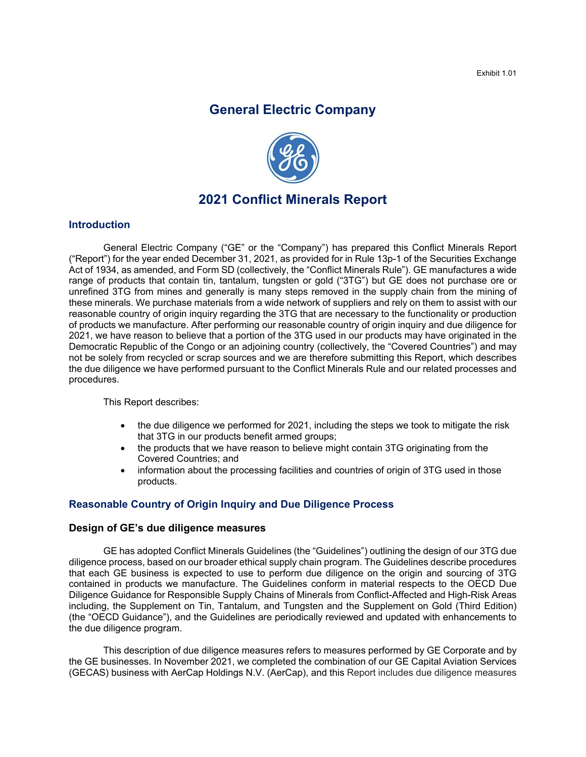# **General Electric Company**



# **2021 Conflict Minerals Report**

#### **Introduction**

General Electric Company ("GE" or the "Company") has prepared this Conflict Minerals Report ("Report") for the year ended December 31, 2021, as provided for in Rule 13p-1 of the Securities Exchange Act of 1934, as amended, and Form SD (collectively, the "Conflict Minerals Rule"). GE manufactures a wide range of products that contain tin, tantalum, tungsten or gold ("3TG") but GE does not purchase ore or unrefined 3TG from mines and generally is many steps removed in the supply chain from the mining of these minerals. We purchase materials from a wide network of suppliers and rely on them to assist with our reasonable country of origin inquiry regarding the 3TG that are necessary to the functionality or production of products we manufacture. After performing our reasonable country of origin inquiry and due diligence for 2021, we have reason to believe that a portion of the 3TG used in our products may have originated in the Democratic Republic of the Congo or an adjoining country (collectively, the "Covered Countries") and may not be solely from recycled or scrap sources and we are therefore submitting this Report, which describes the due diligence we have performed pursuant to the Conflict Minerals Rule and our related processes and procedures.

This Report describes:

- the due diligence we performed for 2021, including the steps we took to mitigate the risk that 3TG in our products benefit armed groups;
- the products that we have reason to believe might contain 3TG originating from the Covered Countries; and
- information about the processing facilities and countries of origin of 3TG used in those products.

### **Reasonable Country of Origin Inquiry and Due Diligence Process**

#### **Design of GE's due diligence measures**

GE has adopted Conflict Minerals Guidelines (the "Guidelines") outlining the design of our 3TG due diligence process, based on our broader ethical supply chain program. The Guidelines describe procedures that each GE business is expected to use to perform due diligence on the origin and sourcing of 3TG contained in products we manufacture. The Guidelines conform in material respects to the OECD Due Diligence Guidance for Responsible Supply Chains of Minerals from Conflict-Affected and High-Risk Areas including, the Supplement on Tin, Tantalum, and Tungsten and the Supplement on Gold (Third Edition) (the "OECD Guidance"), and the Guidelines are periodically reviewed and updated with enhancements to the due diligence program.

This description of due diligence measures refers to measures performed by GE Corporate and by the GE businesses. In November 2021, we completed the combination of our GE Capital Aviation Services (GECAS) business with AerCap Holdings N.V. (AerCap), and this Report includes due diligence measures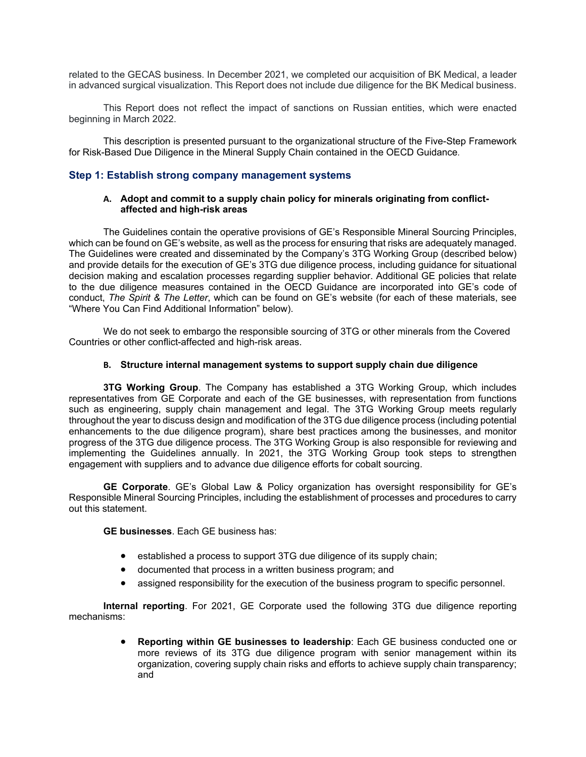related to the GECAS business. In December 2021, we completed our acquisition of BK Medical, a leader in advanced surgical visualization. This Report does not include due diligence for the BK Medical business.

This Report does not reflect the impact of sanctions on Russian entities, which were enacted beginning in March 2022.

This description is presented pursuant to the organizational structure of the Five-Step Framework for Risk-Based Due Diligence in the Mineral Supply Chain contained in the OECD Guidance*.*

#### **Step 1: Establish strong company management systems**

#### **A. Adopt and commit to a supply chain policy for minerals originating from conflictaffected and high-risk areas**

The Guidelines contain the operative provisions of GE's Responsible Mineral Sourcing Principles, which can be found on GE's website, as well as the process for ensuring that risks are adequately managed. The Guidelines were created and disseminated by the Company's 3TG Working Group (described below) and provide details for the execution of GE's 3TG due diligence process, including guidance for situational decision making and escalation processes regarding supplier behavior. Additional GE policies that relate to the due diligence measures contained in the OECD Guidance are incorporated into GE's code of conduct, *The Spirit & The Letter*, which can be found on GE's website (for each of these materials, see "Where You Can Find Additional Information" below).

We do not seek to embargo the responsible sourcing of 3TG or other minerals from the Covered Countries or other conflict-affected and high-risk areas.

#### **B. Structure internal management systems to support supply chain due diligence**

**3TG Working Group**. The Company has established a 3TG Working Group, which includes representatives from GE Corporate and each of the GE businesses, with representation from functions such as engineering, supply chain management and legal. The 3TG Working Group meets regularly throughout the year to discuss design and modification of the 3TG due diligence process (including potential enhancements to the due diligence program), share best practices among the businesses, and monitor progress of the 3TG due diligence process. The 3TG Working Group is also responsible for reviewing and implementing the Guidelines annually. In 2021, the 3TG Working Group took steps to strengthen engagement with suppliers and to advance due diligence efforts for cobalt sourcing.

**GE Corporate**. GE's Global Law & Policy organization has oversight responsibility for GE's Responsible Mineral Sourcing Principles, including the establishment of processes and procedures to carry out this statement.

**GE businesses**. Each GE business has:

- established a process to support 3TG due diligence of its supply chain;
- documented that process in a written business program; and
- assigned responsibility for the execution of the business program to specific personnel.

**Internal reporting**. For 2021, GE Corporate used the following 3TG due diligence reporting mechanisms:

> **Reporting within GE businesses to leadership**: Each GE business conducted one or more reviews of its 3TG due diligence program with senior management within its organization, covering supply chain risks and efforts to achieve supply chain transparency; and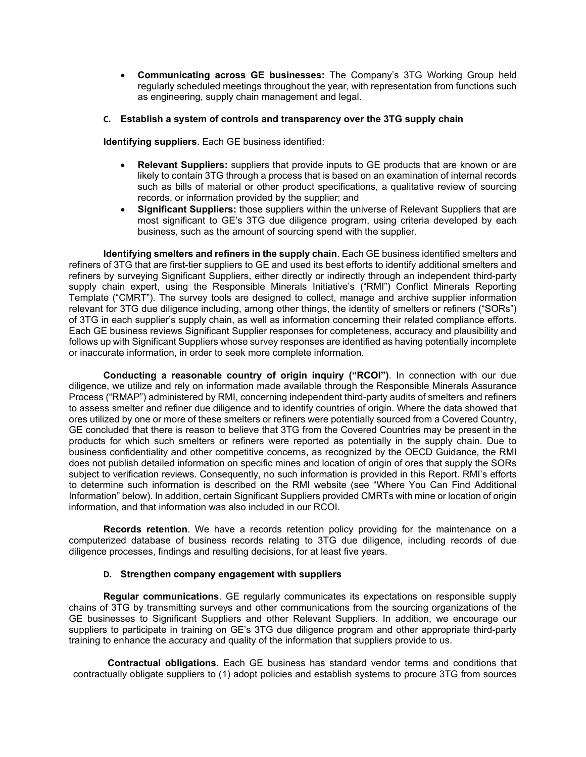- **Communicating across GE businesses:** The Company's 3TG Working Group held regularly scheduled meetings throughout the year, with representation from functions such as engineering, supply chain management and legal.
- **C. Establish a system of controls and transparency over the 3TG supply chain**

**Identifying suppliers**. Each GE business identified:

- **Relevant Suppliers:** suppliers that provide inputs to GE products that are known or are likely to contain 3TG through a process that is based on an examination of internal records such as bills of material or other product specifications, a qualitative review of sourcing records, or information provided by the supplier; and
- **Significant Suppliers:** those suppliers within the universe of Relevant Suppliers that are most significant to GE's 3TG due diligence program, using criteria developed by each business, such as the amount of sourcing spend with the supplier.

**Identifying smelters and refiners in the supply chain**. Each GE business identified smelters and refiners of 3TG that are first-tier suppliers to GE and used its best efforts to identify additional smelters and refiners by surveying Significant Suppliers, either directly or indirectly through an independent third-party supply chain expert, using the Responsible Minerals Initiative's ("RMI") Conflict Minerals Reporting Template ("CMRT"). The survey tools are designed to collect, manage and archive supplier information relevant for 3TG due diligence including, among other things, the identity of smelters or refiners ("SORs") of 3TG in each supplier's supply chain, as well as information concerning their related compliance efforts. Each GE business reviews Significant Supplier responses for completeness, accuracy and plausibility and follows up with Significant Suppliers whose survey responses are identified as having potentially incomplete or inaccurate information, in order to seek more complete information.

**Conducting a reasonable country of origin inquiry ("RCOI")**. In connection with our due diligence, we utilize and rely on information made available through the Responsible Minerals Assurance Process ("RMAP") administered by RMI, concerning independent third-party audits of smelters and refiners to assess smelter and refiner due diligence and to identify countries of origin. Where the data showed that ores utilized by one or more of these smelters or refiners were potentially sourced from a Covered Country, GE concluded that there is reason to believe that 3TG from the Covered Countries may be present in the products for which such smelters or refiners were reported as potentially in the supply chain. Due to business confidentiality and other competitive concerns, as recognized by the OECD Guidance*,* the RMI does not publish detailed information on specific mines and location of origin of ores that supply the SORs subject to verification reviews. Consequently, no such information is provided in this Report. RMI's efforts to determine such information is described on the RMI website (see "Where You Can Find Additional Information" below). In addition, certain Significant Suppliers provided CMRTs with mine or location of origin information, and that information was also included in our RCOI.

**Records retention**. We have a records retention policy providing for the maintenance on a computerized database of business records relating to 3TG due diligence, including records of due diligence processes, findings and resulting decisions, for at least five years.

#### **D. Strengthen company engagement with suppliers**

**Regular communications**. GE regularly communicates its expectations on responsible supply chains of 3TG by transmitting surveys and other communications from the sourcing organizations of the GE businesses to Significant Suppliers and other Relevant Suppliers. In addition, we encourage our suppliers to participate in training on GE's 3TG due diligence program and other appropriate third-party training to enhance the accuracy and quality of the information that suppliers provide to us.

**Contractual obligations**. Each GE business has standard vendor terms and conditions that contractually obligate suppliers to (1) adopt policies and establish systems to procure 3TG from sources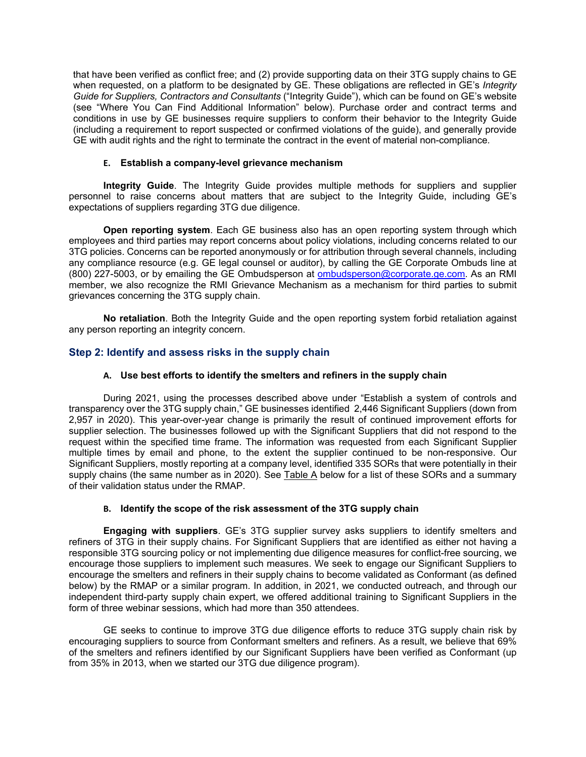that have been verified as conflict free; and (2) provide supporting data on their 3TG supply chains to GE when requested, on a platform to be designated by GE. These obligations are reflected in GE's *Integrity Guide for Suppliers, Contractors and Consultants* ("Integrity Guide"), which can be found on GE's website (see "Where You Can Find Additional Information" below). Purchase order and contract terms and conditions in use by GE businesses require suppliers to conform their behavior to the Integrity Guide (including a requirement to report suspected or confirmed violations of the guide), and generally provide GE with audit rights and the right to terminate the contract in the event of material non-compliance*.*

#### **E. Establish a company-level grievance mechanism**

**Integrity Guide**. The Integrity Guide provides multiple methods for suppliers and supplier personnel to raise concerns about matters that are subject to the Integrity Guide, including GE's expectations of suppliers regarding 3TG due diligence.

**Open reporting system**. Each GE business also has an open reporting system through which employees and third parties may report concerns about policy violations, including concerns related to our 3TG policies. Concerns can be reported anonymously or for attribution through several channels, including any compliance resource (e.g. GE legal counsel or auditor), by calling the GE Corporate Ombuds line at (800) 227-5003, or by emailing the GE Ombudsperson at ombudsperson@corporate.ge.com. As an RMI member, we also recognize the RMI Grievance Mechanism as a mechanism for third parties to submit grievances concerning the 3TG supply chain.

**No retaliation**. Both the Integrity Guide and the open reporting system forbid retaliation against any person reporting an integrity concern.

# **Step 2: Identify and assess risks in the supply chain**

#### **A. Use best efforts to identify the smelters and refiners in the supply chain**

During 2021, using the processes described above under "Establish a system of controls and transparency over the 3TG supply chain," GE businesses identified 2,446 Significant Suppliers (down from 2,957 in 2020). This year-over-year change is primarily the result of continued improvement efforts for supplier selection. The businesses followed up with the Significant Suppliers that did not respond to the request within the specified time frame. The information was requested from each Significant Supplier multiple times by email and phone, to the extent the supplier continued to be non-responsive. Our Significant Suppliers, mostly reporting at a company level, identified 335 SORs that were potentially in their supply chains (the same number as in 2020). See Table A below for a list of these SORs and a summary of their validation status under the RMAP.

#### **B. Identify the scope of the risk assessment of the 3TG supply chain**

**Engaging with suppliers**. GE's 3TG supplier survey asks suppliers to identify smelters and refiners of 3TG in their supply chains. For Significant Suppliers that are identified as either not having a responsible 3TG sourcing policy or not implementing due diligence measures for conflict-free sourcing, we encourage those suppliers to implement such measures. We seek to engage our Significant Suppliers to encourage the smelters and refiners in their supply chains to become validated as Conformant (as defined below) by the RMAP or a similar program. In addition, in 2021, we conducted outreach, and through our independent third-party supply chain expert, we offered additional training to Significant Suppliers in the form of three webinar sessions, which had more than 350 attendees.

GE seeks to continue to improve 3TG due diligence efforts to reduce 3TG supply chain risk by encouraging suppliers to source from Conformant smelters and refiners. As a result, we believe that 69% of the smelters and refiners identified by our Significant Suppliers have been verified as Conformant (up from 35% in 2013, when we started our 3TG due diligence program).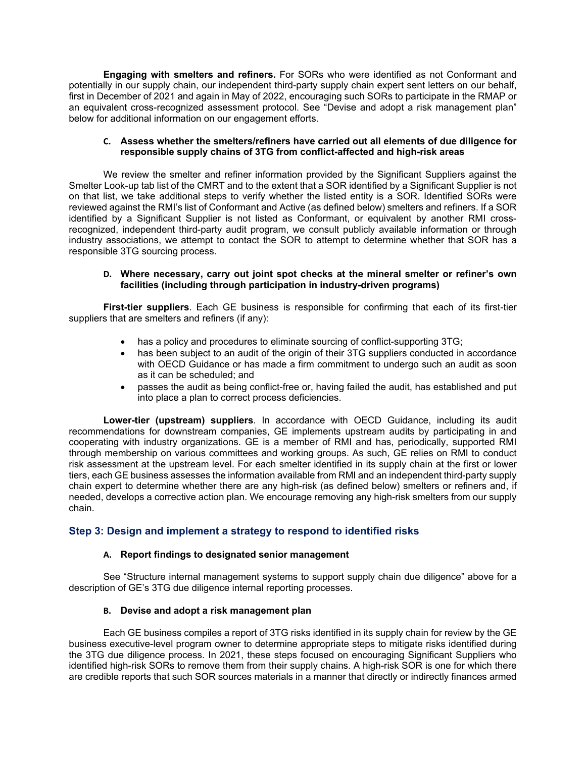**Engaging with smelters and refiners.** For SORs who were identified as not Conformant and potentially in our supply chain, our independent third-party supply chain expert sent letters on our behalf, first in December of 2021 and again in May of 2022, encouraging such SORs to participate in the RMAP or an equivalent cross-recognized assessment protocol. See "Devise and adopt a risk management plan" below for additional information on our engagement efforts.

#### **C. Assess whether the smelters/refiners have carried out all elements of due diligence for responsible supply chains of 3TG from conflict-affected and high-risk areas**

We review the smelter and refiner information provided by the Significant Suppliers against the Smelter Look-up tab list of the CMRT and to the extent that a SOR identified by a Significant Supplier is not on that list, we take additional steps to verify whether the listed entity is a SOR. Identified SORs were reviewed against the RMI's list of Conformant and Active (as defined below) smelters and refiners. If a SOR identified by a Significant Supplier is not listed as Conformant, or equivalent by another RMI crossrecognized, independent third-party audit program, we consult publicly available information or through industry associations, we attempt to contact the SOR to attempt to determine whether that SOR has a responsible 3TG sourcing process.

#### **D. Where necessary, carry out joint spot checks at the mineral smelter or refiner's own facilities (including through participation in industry-driven programs)**

**First-tier suppliers**. Each GE business is responsible for confirming that each of its first-tier suppliers that are smelters and refiners (if any):

- has a policy and procedures to eliminate sourcing of conflict-supporting 3TG;
- has been subject to an audit of the origin of their 3TG suppliers conducted in accordance with OECD Guidance or has made a firm commitment to undergo such an audit as soon as it can be scheduled; and
- passes the audit as being conflict-free or, having failed the audit, has established and put into place a plan to correct process deficiencies.

**Lower-tier (upstream) suppliers**. In accordance with OECD Guidance, including its audit recommendations for downstream companies, GE implements upstream audits by participating in and cooperating with industry organizations. GE is a member of RMI and has, periodically, supported RMI through membership on various committees and working groups. As such, GE relies on RMI to conduct risk assessment at the upstream level. For each smelter identified in its supply chain at the first or lower tiers, each GE business assesses the information available from RMI and an independent third-party supply chain expert to determine whether there are any high-risk (as defined below) smelters or refiners and, if needed, develops a corrective action plan. We encourage removing any high-risk smelters from our supply chain.

# **Step 3: Design and implement a strategy to respond to identified risks**

#### **A. Report findings to designated senior management**

See "Structure internal management systems to support supply chain due diligence" above for a description of GE's 3TG due diligence internal reporting processes.

#### **B. Devise and adopt a risk management plan**

Each GE business compiles a report of 3TG risks identified in its supply chain for review by the GE business executive-level program owner to determine appropriate steps to mitigate risks identified during the 3TG due diligence process. In 2021, these steps focused on encouraging Significant Suppliers who identified high-risk SORs to remove them from their supply chains. A high-risk SOR is one for which there are credible reports that such SOR sources materials in a manner that directly or indirectly finances armed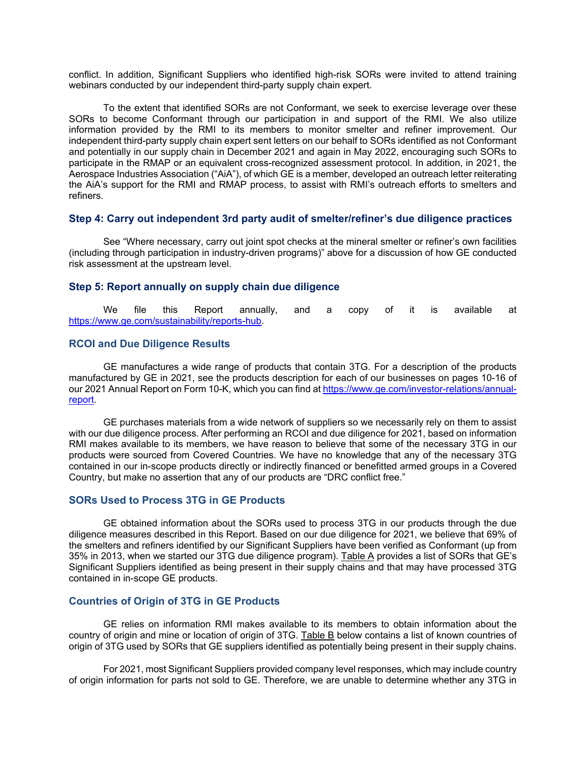conflict. In addition, Significant Suppliers who identified high-risk SORs were invited to attend training webinars conducted by our independent third-party supply chain expert.

To the extent that identified SORs are not Conformant, we seek to exercise leverage over these SORs to become Conformant through our participation in and support of the RMI. We also utilize information provided by the RMI to its members to monitor smelter and refiner improvement. Our independent third-party supply chain expert sent letters on our behalf to SORs identified as not Conformant and potentially in our supply chain in December 2021 and again in May 2022, encouraging such SORs to participate in the RMAP or an equivalent cross-recognized assessment protocol. In addition, in 2021, the Aerospace Industries Association ("AiA"), of which GE is a member, developed an outreach letter reiterating the AiA's support for the RMI and RMAP process, to assist with RMI's outreach efforts to smelters and refiners.

#### **Step 4: Carry out independent 3rd party audit of smelter/refiner's due diligence practices**

See "Where necessary, carry out joint spot checks at the mineral smelter or refiner's own facilities (including through participation in industry-driven programs)" above for a discussion of how GE conducted risk assessment at the upstream level.

#### **Step 5: Report annually on supply chain due diligence**

We file this Report annually, and a copy of it is available at https://www.ge.com/sustainability/reports-hub.

#### **RCOI and Due Diligence Results**

GE manufactures a wide range of products that contain 3TG. For a description of the products manufactured by GE in 2021, see the products description for each of our businesses on pages 10-16 of our 2021 Annual Report on Form 10-K, which you can find at https://www.ge.com/investor-relations/annualreport.

GE purchases materials from a wide network of suppliers so we necessarily rely on them to assist with our due diligence process. After performing an RCOI and due diligence for 2021, based on information RMI makes available to its members, we have reason to believe that some of the necessary 3TG in our products were sourced from Covered Countries. We have no knowledge that any of the necessary 3TG contained in our in-scope products directly or indirectly financed or benefitted armed groups in a Covered Country, but make no assertion that any of our products are "DRC conflict free."

#### **SORs Used to Process 3TG in GE Products**

GE obtained information about the SORs used to process 3TG in our products through the due diligence measures described in this Report. Based on our due diligence for 2021, we believe that 69% of the smelters and refiners identified by our Significant Suppliers have been verified as Conformant (up from 35% in 2013, when we started our 3TG due diligence program). Table A provides a list of SORs that GE's Significant Suppliers identified as being present in their supply chains and that may have processed 3TG contained in in-scope GE products.

#### **Countries of Origin of 3TG in GE Products**

GE relies on information RMI makes available to its members to obtain information about the country of origin and mine or location of origin of 3TG. Table B below contains a list of known countries of origin of 3TG used by SORs that GE suppliers identified as potentially being present in their supply chains.

For 2021, most Significant Suppliers provided company level responses, which may include country of origin information for parts not sold to GE. Therefore, we are unable to determine whether any 3TG in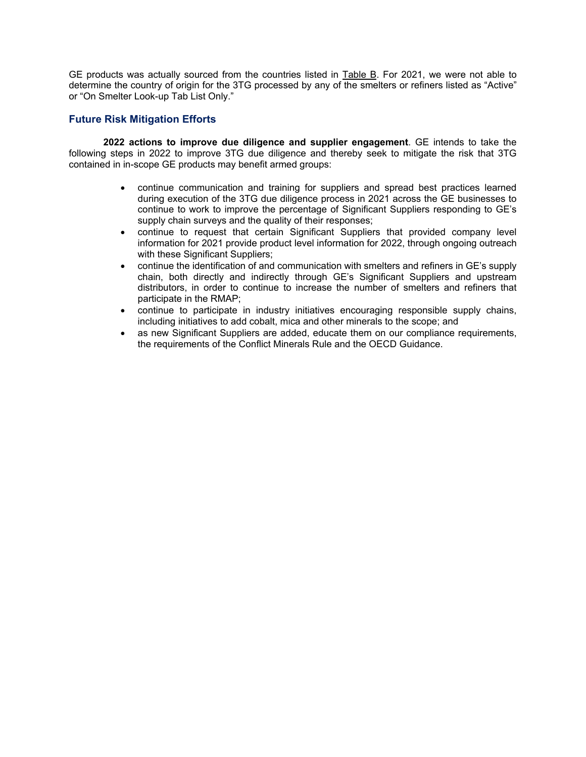GE products was actually sourced from the countries listed in Table B. For 2021, we were not able to determine the country of origin for the 3TG processed by any of the smelters or refiners listed as "Active" or "On Smelter Look-up Tab List Only."

# **Future Risk Mitigation Efforts**

**2022 actions to improve due diligence and supplier engagement**. GE intends to take the following steps in 2022 to improve 3TG due diligence and thereby seek to mitigate the risk that 3TG contained in in-scope GE products may benefit armed groups:

- continue communication and training for suppliers and spread best practices learned during execution of the 3TG due diligence process in 2021 across the GE businesses to continue to work to improve the percentage of Significant Suppliers responding to GE's supply chain surveys and the quality of their responses;
- continue to request that certain Significant Suppliers that provided company level information for 2021 provide product level information for 2022, through ongoing outreach with these Significant Suppliers;
- continue the identification of and communication with smelters and refiners in GE's supply chain, both directly and indirectly through GE's Significant Suppliers and upstream distributors, in order to continue to increase the number of smelters and refiners that participate in the RMAP;
- continue to participate in industry initiatives encouraging responsible supply chains, including initiatives to add cobalt, mica and other minerals to the scope; and
- as new Significant Suppliers are added, educate them on our compliance requirements, the requirements of the Conflict Minerals Rule and the OECD Guidance.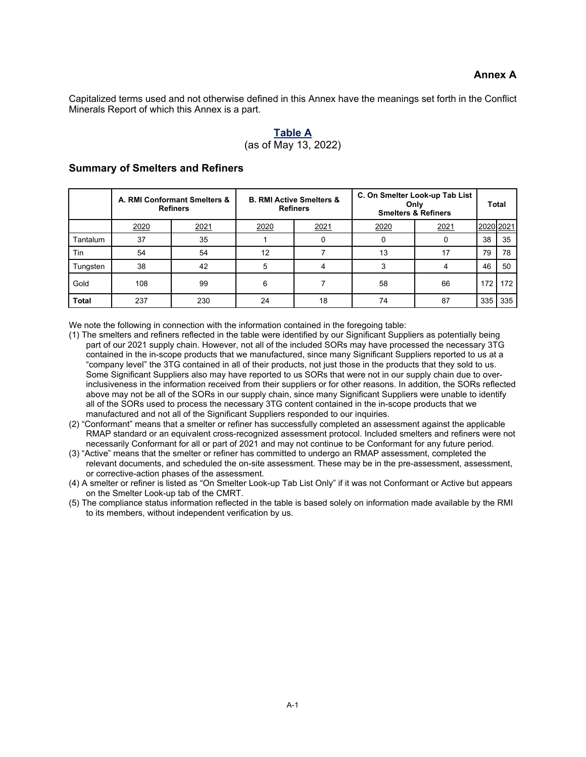Capitalized terms used and not otherwise defined in this Annex have the meanings set forth in the Conflict Minerals Report of which this Annex is a part.

# **Table A** (as of May 13, 2022)

|              |      | A. RMI Conformant Smelters &<br><b>Refiners</b> |      | <b>B. RMI Active Smelters &amp;</b><br><b>Refiners</b> |      | C. On Smelter Look-up Tab List<br>Only<br><b>Smelters &amp; Refiners</b> |           | Total |
|--------------|------|-------------------------------------------------|------|--------------------------------------------------------|------|--------------------------------------------------------------------------|-----------|-------|
|              | 2020 | 2021                                            | 2020 | 2021                                                   | 2020 | 2021                                                                     | 2020 2021 |       |
| Tantalum     | 37   | 35                                              |      |                                                        |      |                                                                          | 38        | 35    |
| Tin          | 54   | 54                                              | 12   |                                                        | 13   |                                                                          | 79        | 78    |
| Tungsten     | 38   | 42                                              | 5    |                                                        |      |                                                                          | 46        | 50    |
| Gold         | 108  | 99                                              | 6    |                                                        | 58   | 66                                                                       | 172       | 172   |
| <b>Total</b> | 237  | 230                                             | 24   | 18                                                     | 74   | 87                                                                       | 335       | 335   |

#### **Summary of Smelters and Refiners**

We note the following in connection with the information contained in the foregoing table:

- (1) The smelters and refiners reflected in the table were identified by our Significant Suppliers as potentially being part of our 2021 supply chain. However, not all of the included SORs may have processed the necessary 3TG contained in the in-scope products that we manufactured, since many Significant Suppliers reported to us at a "company level" the 3TG contained in all of their products, not just those in the products that they sold to us. Some Significant Suppliers also may have reported to us SORs that were not in our supply chain due to overinclusiveness in the information received from their suppliers or for other reasons. In addition, the SORs reflected above may not be all of the SORs in our supply chain, since many Significant Suppliers were unable to identify all of the SORs used to process the necessary 3TG content contained in the in-scope products that we manufactured and not all of the Significant Suppliers responded to our inquiries.
- (2) "Conformant" means that a smelter or refiner has successfully completed an assessment against the applicable RMAP standard or an equivalent cross-recognized assessment protocol. Included smelters and refiners were not necessarily Conformant for all or part of 2021 and may not continue to be Conformant for any future period.
- (3) "Active" means that the smelter or refiner has committed to undergo an RMAP assessment, completed the relevant documents, and scheduled the on-site assessment. These may be in the pre-assessment, assessment, or corrective-action phases of the assessment.
- (4) A smelter or refiner is listed as "On Smelter Look-up Tab List Only" if it was not Conformant or Active but appears on the Smelter Look-up tab of the CMRT.
- (5) The compliance status information reflected in the table is based solely on information made available by the RMI to its members, without independent verification by us.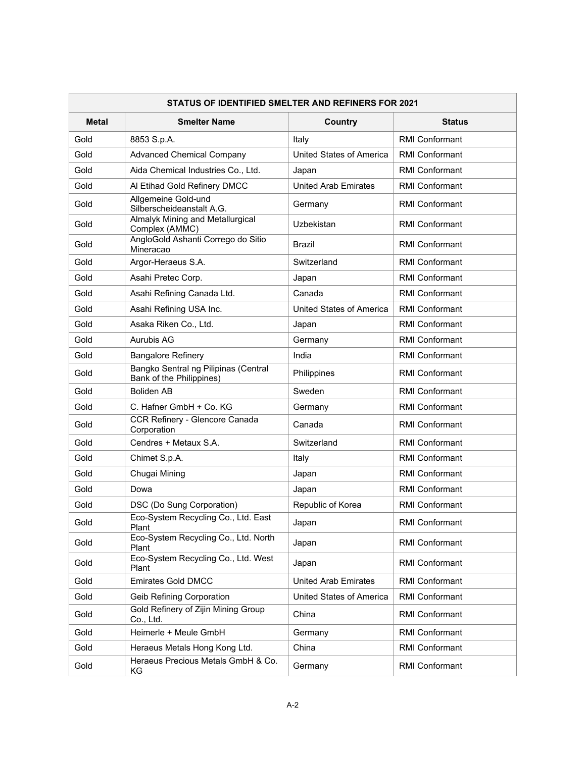| STATUS OF IDENTIFIED SMELTER AND REFINERS FOR 2021 |                                                                  |                                 |                       |  |  |
|----------------------------------------------------|------------------------------------------------------------------|---------------------------------|-----------------------|--|--|
| <b>Metal</b>                                       | <b>Smelter Name</b>                                              | <b>Country</b>                  | <b>Status</b>         |  |  |
| Gold                                               | 8853 S.p.A.                                                      | Italy                           | <b>RMI Conformant</b> |  |  |
| Gold                                               | <b>Advanced Chemical Company</b>                                 | <b>United States of America</b> | <b>RMI Conformant</b> |  |  |
| Gold                                               | Aida Chemical Industries Co., Ltd.                               | Japan                           | <b>RMI Conformant</b> |  |  |
| Gold                                               | Al Etihad Gold Refinery DMCC                                     | <b>United Arab Emirates</b>     | <b>RMI Conformant</b> |  |  |
| Gold                                               | Allgemeine Gold-und<br>Silberscheideanstalt A.G.                 | Germany                         | <b>RMI Conformant</b> |  |  |
| Gold                                               | Almalyk Mining and Metallurgical<br>Complex (AMMC)               | Uzbekistan                      | <b>RMI Conformant</b> |  |  |
| Gold                                               | AngloGold Ashanti Corrego do Sitio<br>Mineracao                  | Brazil                          | <b>RMI Conformant</b> |  |  |
| Gold                                               | Argor-Heraeus S.A.                                               | Switzerland                     | <b>RMI Conformant</b> |  |  |
| Gold                                               | Asahi Pretec Corp.                                               | Japan                           | <b>RMI Conformant</b> |  |  |
| Gold                                               | Asahi Refining Canada Ltd.                                       | Canada                          | <b>RMI Conformant</b> |  |  |
| Gold                                               | Asahi Refining USA Inc.                                          | United States of America        | <b>RMI Conformant</b> |  |  |
| Gold                                               | Asaka Riken Co., Ltd.                                            | Japan                           | <b>RMI Conformant</b> |  |  |
| Gold                                               | <b>Aurubis AG</b>                                                | Germany                         | <b>RMI Conformant</b> |  |  |
| Gold                                               | <b>Bangalore Refinery</b>                                        | India                           | <b>RMI Conformant</b> |  |  |
| Gold                                               | Bangko Sentral ng Pilipinas (Central<br>Bank of the Philippines) | Philippines                     | <b>RMI Conformant</b> |  |  |
| Gold                                               | <b>Boliden AB</b>                                                | Sweden                          | <b>RMI Conformant</b> |  |  |
| Gold                                               | C. Hafner GmbH + Co. KG                                          | Germany                         | <b>RMI Conformant</b> |  |  |
| Gold                                               | CCR Refinery - Glencore Canada<br>Corporation                    | Canada                          | <b>RMI Conformant</b> |  |  |
| Gold                                               | Cendres + Metaux S.A.                                            | Switzerland                     | <b>RMI Conformant</b> |  |  |
| Gold                                               | Chimet S.p.A.                                                    | Italy                           | <b>RMI Conformant</b> |  |  |
| Gold                                               | Chugai Mining                                                    | Japan                           | <b>RMI Conformant</b> |  |  |
| Gold                                               | Dowa                                                             | Japan                           | <b>RMI Conformant</b> |  |  |
| Gold                                               | DSC (Do Sung Corporation)                                        | Republic of Korea               | <b>RMI Conformant</b> |  |  |
| Gold                                               | Eco-System Recycling Co., Ltd. East<br>Plant                     | Japan                           | <b>RMI Conformant</b> |  |  |
| Gold                                               | Eco-System Recycling Co., Ltd. North<br>Plant                    | Japan                           | <b>RMI Conformant</b> |  |  |
| Gold                                               | Eco-System Recycling Co., Ltd. West<br>Plant                     | Japan                           | <b>RMI Conformant</b> |  |  |
| Gold                                               | <b>Emirates Gold DMCC</b>                                        | <b>United Arab Emirates</b>     | <b>RMI Conformant</b> |  |  |
| Gold                                               | <b>Geib Refining Corporation</b>                                 | United States of America        | <b>RMI Conformant</b> |  |  |
| Gold                                               | Gold Refinery of Zijin Mining Group<br>Co., Ltd.                 | China                           | RMI Conformant        |  |  |
| Gold                                               | Heimerle + Meule GmbH                                            | Germany                         | RMI Conformant        |  |  |
| Gold                                               | Heraeus Metals Hong Kong Ltd.                                    | China                           | RMI Conformant        |  |  |
| Gold                                               | Heraeus Precious Metals GmbH & Co.<br>KG                         | Germany                         | RMI Conformant        |  |  |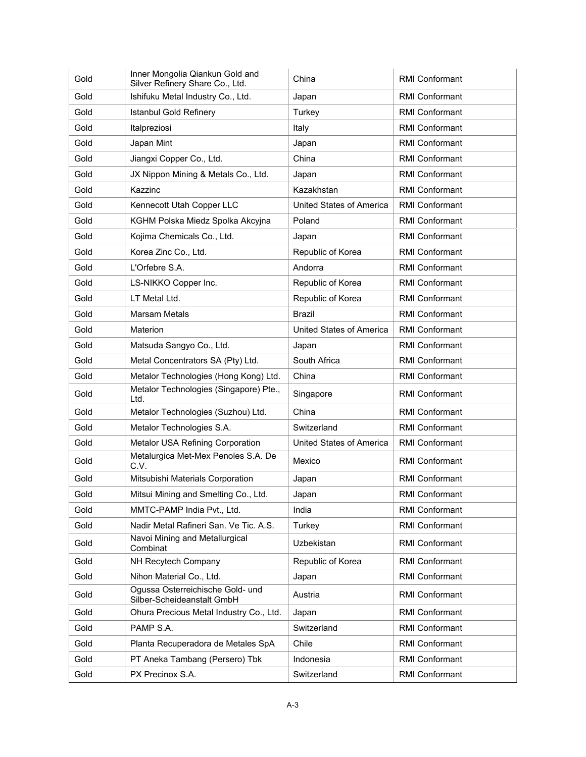| Gold | Inner Mongolia Qiankun Gold and<br>Silver Refinery Share Co., Ltd. | China                           | <b>RMI Conformant</b> |
|------|--------------------------------------------------------------------|---------------------------------|-----------------------|
| Gold | Ishifuku Metal Industry Co., Ltd.                                  | Japan                           | <b>RMI Conformant</b> |
| Gold | <b>Istanbul Gold Refinery</b>                                      | Turkey                          | <b>RMI Conformant</b> |
| Gold | Italpreziosi                                                       | Italy                           | <b>RMI Conformant</b> |
| Gold | Japan Mint                                                         | Japan                           | <b>RMI Conformant</b> |
| Gold | Jiangxi Copper Co., Ltd.                                           | China                           | <b>RMI Conformant</b> |
| Gold | JX Nippon Mining & Metals Co., Ltd.                                | Japan                           | <b>RMI Conformant</b> |
| Gold | Kazzinc                                                            | Kazakhstan                      | <b>RMI Conformant</b> |
| Gold | Kennecott Utah Copper LLC                                          | <b>United States of America</b> | <b>RMI Conformant</b> |
| Gold | KGHM Polska Miedz Spolka Akcyjna                                   | Poland                          | <b>RMI Conformant</b> |
| Gold | Kojima Chemicals Co., Ltd.                                         | Japan                           | <b>RMI Conformant</b> |
| Gold | Korea Zinc Co., Ltd.                                               | Republic of Korea               | <b>RMI Conformant</b> |
| Gold | L'Orfebre S.A.                                                     | Andorra                         | <b>RMI Conformant</b> |
| Gold | LS-NIKKO Copper Inc.                                               | Republic of Korea               | <b>RMI Conformant</b> |
| Gold | LT Metal Ltd.                                                      | Republic of Korea               | <b>RMI Conformant</b> |
| Gold | <b>Marsam Metals</b>                                               | <b>Brazil</b>                   | <b>RMI Conformant</b> |
| Gold | Materion                                                           | <b>United States of America</b> | <b>RMI Conformant</b> |
| Gold | Matsuda Sangyo Co., Ltd.                                           | Japan                           | <b>RMI Conformant</b> |
| Gold | Metal Concentrators SA (Pty) Ltd.                                  | South Africa                    | <b>RMI Conformant</b> |
| Gold | Metalor Technologies (Hong Kong) Ltd.                              | China                           | <b>RMI Conformant</b> |
| Gold | Metalor Technologies (Singapore) Pte.,<br>Ltd.                     | Singapore                       | RMI Conformant        |
| Gold | Metalor Technologies (Suzhou) Ltd.                                 | China                           | <b>RMI Conformant</b> |
| Gold | Metalor Technologies S.A.                                          | Switzerland                     | <b>RMI Conformant</b> |
| Gold | Metalor USA Refining Corporation                                   | United States of America        | <b>RMI Conformant</b> |
| Gold | Metalurgica Met-Mex Penoles S.A. De<br>C.V.                        | Mexico                          | <b>RMI Conformant</b> |
| Gold | Mitsubishi Materials Corporation                                   | Japan                           | <b>RMI Conformant</b> |
| Gold | Mitsui Mining and Smelting Co., Ltd.                               | Japan                           | <b>RMI Conformant</b> |
| Gold | MMTC-PAMP India Pvt., Ltd.                                         | India                           | <b>RMI Conformant</b> |
| Gold | Nadir Metal Rafineri San. Ve Tic. A.S.                             | Turkey                          | RMI Conformant        |
| Gold | Navoi Mining and Metallurgical<br>Combinat                         | Uzbekistan                      | <b>RMI Conformant</b> |
| Gold | NH Recytech Company                                                | Republic of Korea               | RMI Conformant        |
| Gold | Nihon Material Co., Ltd.                                           | Japan                           | <b>RMI Conformant</b> |
| Gold | Ogussa Osterreichische Gold- und<br>Silber-Scheideanstalt GmbH     | Austria                         | <b>RMI Conformant</b> |
| Gold | Ohura Precious Metal Industry Co., Ltd.                            | Japan                           | <b>RMI Conformant</b> |
| Gold | PAMP S.A.                                                          | Switzerland                     | <b>RMI Conformant</b> |
| Gold | Planta Recuperadora de Metales SpA                                 | Chile                           | <b>RMI Conformant</b> |
| Gold | PT Aneka Tambang (Persero) Tbk                                     | Indonesia                       | RMI Conformant        |
| Gold | PX Precinox S.A.                                                   | Switzerland                     | RMI Conformant        |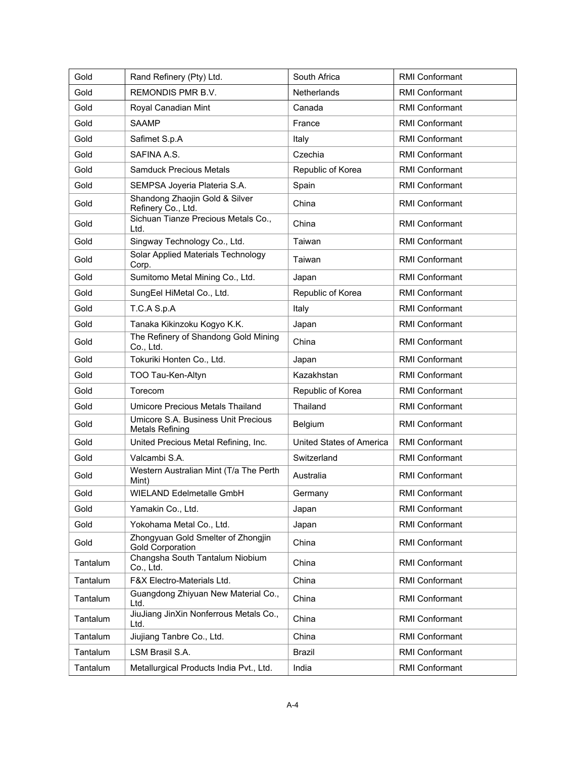| Gold     | Rand Refinery (Pty) Ltd.                                      | South Africa                    | <b>RMI Conformant</b> |
|----------|---------------------------------------------------------------|---------------------------------|-----------------------|
| Gold     | <b>REMONDIS PMR B.V.</b>                                      | <b>Netherlands</b>              | <b>RMI Conformant</b> |
| Gold     | Royal Canadian Mint                                           | Canada                          | <b>RMI Conformant</b> |
| Gold     | <b>SAAMP</b>                                                  | France                          | <b>RMI Conformant</b> |
| Gold     | Safimet S.p.A                                                 | Italy                           | <b>RMI Conformant</b> |
| Gold     | SAFINA A.S.                                                   | Czechia                         | <b>RMI Conformant</b> |
| Gold     | <b>Samduck Precious Metals</b>                                | Republic of Korea               | <b>RMI Conformant</b> |
| Gold     | SEMPSA Joyeria Plateria S.A.                                  | Spain                           | <b>RMI Conformant</b> |
| Gold     | Shandong Zhaojin Gold & Silver<br>Refinery Co., Ltd.          | China                           | <b>RMI Conformant</b> |
| Gold     | Sichuan Tianze Precious Metals Co.,<br>Ltd.                   | China                           | <b>RMI Conformant</b> |
| Gold     | Singway Technology Co., Ltd.                                  | Taiwan                          | <b>RMI Conformant</b> |
| Gold     | Solar Applied Materials Technology<br>Corp.                   | Taiwan                          | <b>RMI Conformant</b> |
| Gold     | Sumitomo Metal Mining Co., Ltd.                               | Japan                           | <b>RMI Conformant</b> |
| Gold     | SungEel HiMetal Co., Ltd.                                     | Republic of Korea               | <b>RMI Conformant</b> |
| Gold     | T.C.A S.p.A                                                   | Italy                           | <b>RMI Conformant</b> |
| Gold     | Tanaka Kikinzoku Kogyo K.K.                                   | Japan                           | <b>RMI Conformant</b> |
| Gold     | The Refinery of Shandong Gold Mining<br>Co., Ltd.             | China                           | <b>RMI Conformant</b> |
| Gold     | Tokuriki Honten Co., Ltd.                                     | Japan                           | <b>RMI Conformant</b> |
| Gold     | TOO Tau-Ken-Altyn                                             | Kazakhstan                      | <b>RMI Conformant</b> |
| Gold     | Torecom                                                       | Republic of Korea               | <b>RMI Conformant</b> |
| Gold     | Umicore Precious Metals Thailand                              | Thailand                        | <b>RMI Conformant</b> |
| Gold     | Umicore S.A. Business Unit Precious<br><b>Metals Refining</b> | Belgium                         | <b>RMI Conformant</b> |
| Gold     | United Precious Metal Refining, Inc.                          | <b>United States of America</b> | <b>RMI Conformant</b> |
| Gold     | Valcambi S.A.                                                 | Switzerland                     | <b>RMI Conformant</b> |
| Gold     | Western Australian Mint (T/a The Perth<br>Mint)               | Australia                       | <b>RMI Conformant</b> |
| Gold     | WIELAND Edelmetalle GmbH                                      | Germany                         | <b>RMI Conformant</b> |
| Gold     | Yamakin Co., Ltd.                                             | Japan                           | <b>RMI Conformant</b> |
| Gold     | Yokohama Metal Co., Ltd.                                      | Japan                           | RMI Conformant        |
| Gold     | Zhongyuan Gold Smelter of Zhongjin<br><b>Gold Corporation</b> | China                           | RMI Conformant        |
| Tantalum | Changsha South Tantalum Niobium<br>Co., Ltd.                  | China                           | <b>RMI Conformant</b> |
| Tantalum | F&X Electro-Materials Ltd.                                    | China                           | <b>RMI Conformant</b> |
| Tantalum | Guangdong Zhiyuan New Material Co.,<br>Ltd.                   | China                           | <b>RMI Conformant</b> |
| Tantalum | JiuJiang JinXin Nonferrous Metals Co.,<br>Ltd.                | China                           | RMI Conformant        |
| Tantalum | Jiujiang Tanbre Co., Ltd.                                     | China                           | RMI Conformant        |
| Tantalum | LSM Brasil S.A.                                               | Brazil                          | <b>RMI Conformant</b> |
| Tantalum | Metallurgical Products India Pvt., Ltd.                       | India                           | RMI Conformant        |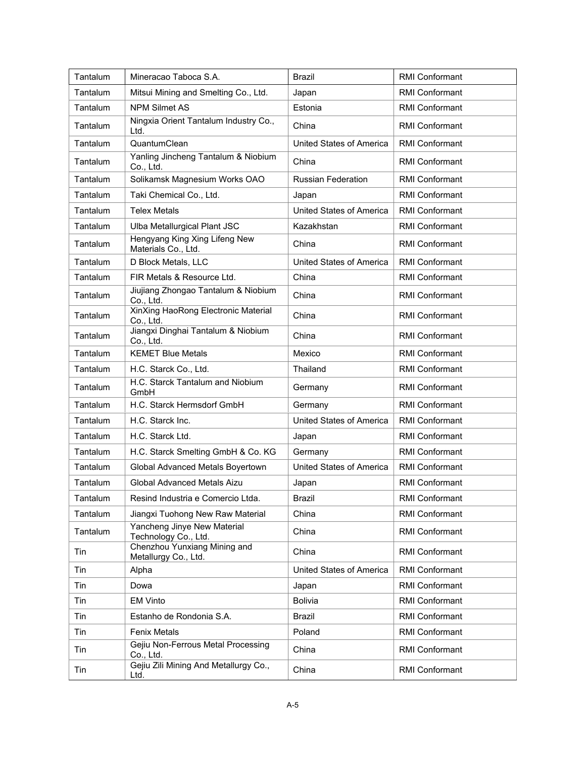| Tantalum | Mineracao Taboca S.A.                                | <b>Brazil</b>                   | <b>RMI Conformant</b> |
|----------|------------------------------------------------------|---------------------------------|-----------------------|
| Tantalum | Mitsui Mining and Smelting Co., Ltd.                 | Japan                           | <b>RMI Conformant</b> |
| Tantalum | <b>NPM Silmet AS</b>                                 | Estonia                         | <b>RMI Conformant</b> |
| Tantalum | Ningxia Orient Tantalum Industry Co.,<br>Ltd.        | China                           | <b>RMI Conformant</b> |
| Tantalum | QuantumClean                                         | <b>United States of America</b> | <b>RMI Conformant</b> |
| Tantalum | Yanling Jincheng Tantalum & Niobium<br>Co., Ltd.     | China                           | <b>RMI Conformant</b> |
| Tantalum | Solikamsk Magnesium Works OAO                        | <b>Russian Federation</b>       | <b>RMI Conformant</b> |
| Tantalum | Taki Chemical Co., Ltd.                              | Japan                           | <b>RMI Conformant</b> |
| Tantalum | <b>Telex Metals</b>                                  | United States of America        | <b>RMI Conformant</b> |
| Tantalum | Ulba Metallurgical Plant JSC                         | Kazakhstan                      | <b>RMI Conformant</b> |
| Tantalum | Hengyang King Xing Lifeng New<br>Materials Co., Ltd. | China                           | <b>RMI Conformant</b> |
| Tantalum | D Block Metals, LLC                                  | United States of America        | <b>RMI Conformant</b> |
| Tantalum | FIR Metals & Resource Ltd.                           | China                           | <b>RMI Conformant</b> |
| Tantalum | Jiujiang Zhongao Tantalum & Niobium<br>Co., Ltd.     | China                           | <b>RMI Conformant</b> |
| Tantalum | XinXing HaoRong Electronic Material<br>Co., Ltd.     | China                           | <b>RMI Conformant</b> |
| Tantalum | Jiangxi Dinghai Tantalum & Niobium<br>Co., Ltd.      | China                           | <b>RMI Conformant</b> |
| Tantalum | <b>KEMET Blue Metals</b>                             | Mexico                          | <b>RMI Conformant</b> |
| Tantalum | H.C. Starck Co., Ltd.                                | Thailand                        | <b>RMI Conformant</b> |
| Tantalum | H.C. Starck Tantalum and Niobium<br>GmbH             | Germany                         | <b>RMI Conformant</b> |
| Tantalum | H.C. Starck Hermsdorf GmbH                           | Germany                         | <b>RMI Conformant</b> |
| Tantalum | H.C. Starck Inc.                                     | United States of America        | <b>RMI Conformant</b> |
| Tantalum | H.C. Starck Ltd.                                     | Japan                           | <b>RMI Conformant</b> |
| Tantalum | H.C. Starck Smelting GmbH & Co. KG                   | Germany                         | <b>RMI Conformant</b> |
| Tantalum | Global Advanced Metals Boyertown                     | United States of America        | <b>RMI Conformant</b> |
| Tantalum | Global Advanced Metals Aizu                          | Japan                           | <b>RMI Conformant</b> |
| Tantalum | Resind Industria e Comercio Ltda.                    | Brazil                          | RMI Conformant        |
| Tantalum | Jiangxi Tuohong New Raw Material                     | China                           | <b>RMI Conformant</b> |
| Tantalum | Yancheng Jinye New Material<br>Technology Co., Ltd.  | China                           | <b>RMI Conformant</b> |
| Tin      | Chenzhou Yunxiang Mining and<br>Metallurgy Co., Ltd. | China                           | <b>RMI Conformant</b> |
| Tin      | Alpha                                                | United States of America        | RMI Conformant        |
| Tin      | Dowa                                                 | Japan                           | RMI Conformant        |
| Tin      | <b>EM Vinto</b>                                      | <b>Bolivia</b>                  | <b>RMI Conformant</b> |
| Tin      | Estanho de Rondonia S.A.                             | Brazil                          | RMI Conformant        |
| Tin      | <b>Fenix Metals</b>                                  | Poland                          | <b>RMI Conformant</b> |
| Tin      | Gejiu Non-Ferrous Metal Processing<br>Co., Ltd.      | China                           | RMI Conformant        |
| Tin      | Gejiu Zili Mining And Metallurgy Co.,<br>Ltd.        | China                           | <b>RMI Conformant</b> |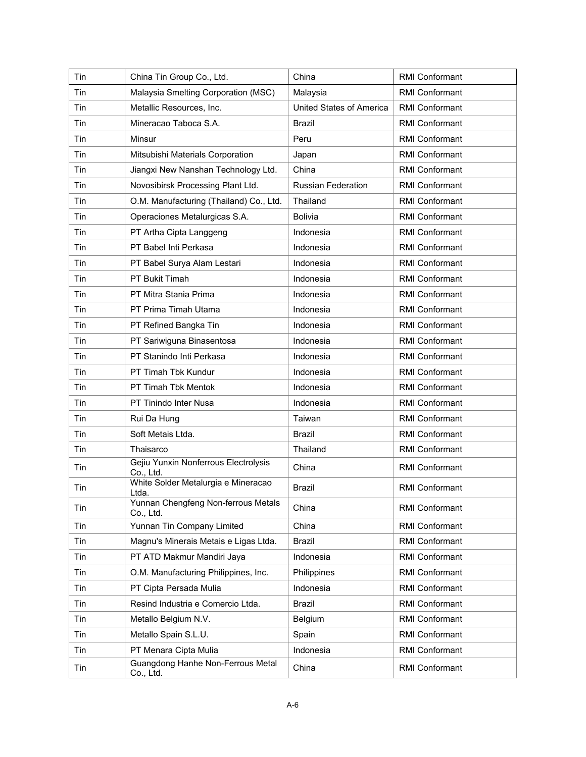| Tin | China Tin Group Co., Ltd.                         | China                     | <b>RMI Conformant</b> |
|-----|---------------------------------------------------|---------------------------|-----------------------|
| Tin | Malaysia Smelting Corporation (MSC)               | Malaysia                  | <b>RMI Conformant</b> |
| Tin | Metallic Resources, Inc.                          | United States of America  | RMI Conformant        |
| Tin | Mineracao Taboca S.A.                             | <b>Brazil</b>             | <b>RMI Conformant</b> |
| Tin | Minsur                                            | Peru                      | <b>RMI Conformant</b> |
| Tin | Mitsubishi Materials Corporation                  | Japan                     | <b>RMI Conformant</b> |
| Tin | Jiangxi New Nanshan Technology Ltd.               | China                     | <b>RMI Conformant</b> |
| Tin | Novosibirsk Processing Plant Ltd.                 | <b>Russian Federation</b> | <b>RMI Conformant</b> |
| Tin | O.M. Manufacturing (Thailand) Co., Ltd.           | Thailand                  | <b>RMI Conformant</b> |
| Tin | Operaciones Metalurgicas S.A.                     | <b>Bolivia</b>            | <b>RMI Conformant</b> |
| Tin | PT Artha Cipta Langgeng                           | Indonesia                 | <b>RMI Conformant</b> |
| Tin | PT Babel Inti Perkasa                             | Indonesia                 | <b>RMI Conformant</b> |
| Tin | PT Babel Surya Alam Lestari                       | Indonesia                 | RMI Conformant        |
| Tin | PT Bukit Timah                                    | Indonesia                 | <b>RMI Conformant</b> |
| Tin | PT Mitra Stania Prima                             | Indonesia                 | <b>RMI Conformant</b> |
| Tin | PT Prima Timah Utama                              | Indonesia                 | <b>RMI Conformant</b> |
| Tin | PT Refined Bangka Tin                             | Indonesia                 | <b>RMI Conformant</b> |
| Tin | PT Sariwiguna Binasentosa                         | Indonesia                 | <b>RMI Conformant</b> |
| Tin | PT Stanindo Inti Perkasa                          | Indonesia                 | <b>RMI Conformant</b> |
| Tin | PT Timah Tbk Kundur                               | Indonesia                 | <b>RMI Conformant</b> |
| Tin | PT Timah Tbk Mentok                               | Indonesia                 | <b>RMI Conformant</b> |
| Tin | <b>PT Tinindo Inter Nusa</b>                      | Indonesia                 | <b>RMI Conformant</b> |
| Tin | Rui Da Hung                                       | Taiwan                    | <b>RMI Conformant</b> |
| Tin | Soft Metais Ltda.                                 | Brazil                    | <b>RMI Conformant</b> |
| Tin | Thaisarco                                         | Thailand                  | RMI Conformant        |
| Tin | Gejiu Yunxin Nonferrous Electrolysis<br>Co., Ltd. | China                     | <b>RMI Conformant</b> |
| Tin | White Solder Metalurgia e Mineracao<br>Ltda.      | <b>Brazil</b>             | <b>RMI Conformant</b> |
| Tin | Yunnan Chengfeng Non-ferrous Metals<br>Co., Ltd.  | China                     | RMI Conformant        |
| Tin | Yunnan Tin Company Limited                        | China                     | RMI Conformant        |
| Tin | Magnu's Minerais Metais e Ligas Ltda.             | Brazil                    | <b>RMI Conformant</b> |
| Tin | PT ATD Makmur Mandiri Jaya                        | Indonesia                 | RMI Conformant        |
| Tin | O.M. Manufacturing Philippines, Inc.              | Philippines               | RMI Conformant        |
| Tin | PT Cipta Persada Mulia                            | Indonesia                 | <b>RMI Conformant</b> |
| Tin | Resind Industria e Comercio Ltda.                 | Brazil                    | RMI Conformant        |
| Tin | Metallo Belgium N.V.                              | Belgium                   | RMI Conformant        |
| Tin | Metallo Spain S.L.U.                              | Spain                     | RMI Conformant        |
| Tin | PT Menara Cipta Mulia                             | Indonesia                 | RMI Conformant        |
| Tin | Guangdong Hanhe Non-Ferrous Metal<br>Co., Ltd.    | China                     | RMI Conformant        |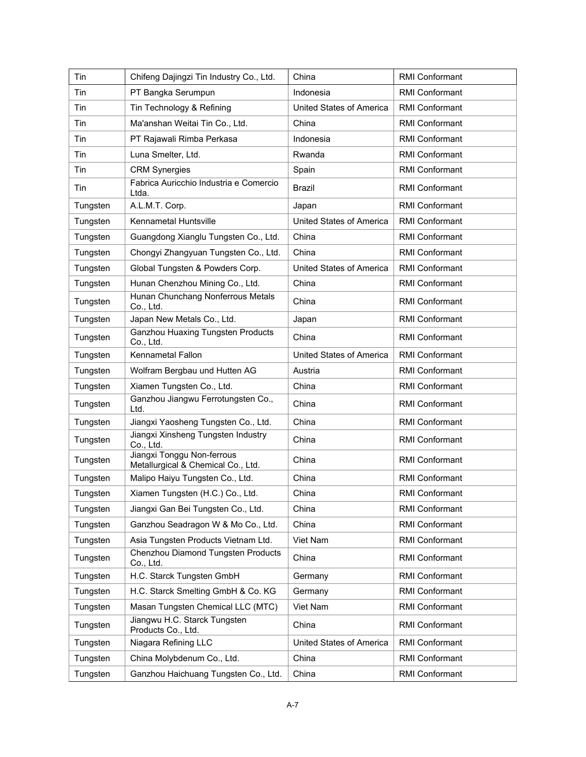| Tin      | Chifeng Dajingzi Tin Industry Co., Ltd.                          | China                           | <b>RMI Conformant</b> |
|----------|------------------------------------------------------------------|---------------------------------|-----------------------|
| Tin      | PT Bangka Serumpun                                               | Indonesia                       | <b>RMI Conformant</b> |
| Tin      | Tin Technology & Refining                                        | United States of America        | <b>RMI Conformant</b> |
| Tin      | Ma'anshan Weitai Tin Co., Ltd.                                   | China                           | <b>RMI Conformant</b> |
| Tin      | PT Rajawali Rimba Perkasa                                        | Indonesia                       | <b>RMI Conformant</b> |
| Tin      | Luna Smelter, Ltd.                                               | Rwanda                          | <b>RMI Conformant</b> |
| Tin      | <b>CRM Synergies</b>                                             | Spain                           | <b>RMI Conformant</b> |
| Tin      | Fabrica Auricchio Industria e Comercio<br>Ltda.                  | Brazil                          | <b>RMI Conformant</b> |
| Tungsten | A.L.M.T. Corp.                                                   | Japan                           | <b>RMI Conformant</b> |
| Tungsten | Kennametal Huntsville                                            | United States of America        | <b>RMI Conformant</b> |
| Tungsten | Guangdong Xianglu Tungsten Co., Ltd.                             | China                           | <b>RMI Conformant</b> |
| Tungsten | Chongyi Zhangyuan Tungsten Co., Ltd.                             | China                           | <b>RMI Conformant</b> |
| Tungsten | Global Tungsten & Powders Corp.                                  | <b>United States of America</b> | <b>RMI Conformant</b> |
| Tungsten | Hunan Chenzhou Mining Co., Ltd.                                  | China                           | <b>RMI Conformant</b> |
| Tungsten | Hunan Chunchang Nonferrous Metals<br>Co., Ltd.                   | China                           | <b>RMI Conformant</b> |
| Tungsten | Japan New Metals Co., Ltd.                                       | Japan                           | <b>RMI Conformant</b> |
| Tungsten | <b>Ganzhou Huaxing Tungsten Products</b><br>Co., Ltd.            | China                           | RMI Conformant        |
| Tungsten | Kennametal Fallon                                                | United States of America        | RMI Conformant        |
| Tungsten | Wolfram Bergbau und Hutten AG                                    | Austria                         | <b>RMI Conformant</b> |
| Tungsten | Xiamen Tungsten Co., Ltd.                                        | China                           | <b>RMI Conformant</b> |
| Tungsten | Ganzhou Jiangwu Ferrotungsten Co.,<br>Ltd.                       | China                           | <b>RMI Conformant</b> |
| Tungsten | Jiangxi Yaosheng Tungsten Co., Ltd.                              | China                           | <b>RMI Conformant</b> |
| Tungsten | Jiangxi Xinsheng Tungsten Industry<br>Co., Ltd.                  | China                           | <b>RMI Conformant</b> |
| Tungsten | Jiangxi Tonggu Non-ferrous<br>Metallurgical & Chemical Co., Ltd. | China                           | <b>RMI Conformant</b> |
| Tungsten | Malipo Haiyu Tungsten Co., Ltd.                                  | China                           | <b>RMI Conformant</b> |
| Tungsten | Xiamen Tungsten (H.C.) Co., Ltd.                                 | China                           | <b>RMI Conformant</b> |
| Tungsten | Jiangxi Gan Bei Tungsten Co., Ltd.                               | China                           | RMI Conformant        |
| Tungsten | Ganzhou Seadragon W & Mo Co., Ltd.                               | China                           | RMI Conformant        |
| Tungsten | Asia Tungsten Products Vietnam Ltd.                              | Viet Nam                        | <b>RMI Conformant</b> |
| Tungsten | Chenzhou Diamond Tungsten Products<br>Co., Ltd.                  | China                           | <b>RMI Conformant</b> |
| Tungsten | H.C. Starck Tungsten GmbH                                        | Germany                         | <b>RMI Conformant</b> |
| Tungsten | H.C. Starck Smelting GmbH & Co. KG                               | Germany                         | <b>RMI Conformant</b> |
| Tungsten | Masan Tungsten Chemical LLC (MTC)                                | Viet Nam                        | RMI Conformant        |
| Tungsten | Jiangwu H.C. Starck Tungsten<br>Products Co., Ltd.               | China                           | RMI Conformant        |
| Tungsten | Niagara Refining LLC                                             | United States of America        | RMI Conformant        |
| Tungsten | China Molybdenum Co., Ltd.                                       | China                           | RMI Conformant        |
| Tungsten | Ganzhou Haichuang Tungsten Co., Ltd.                             | China                           | RMI Conformant        |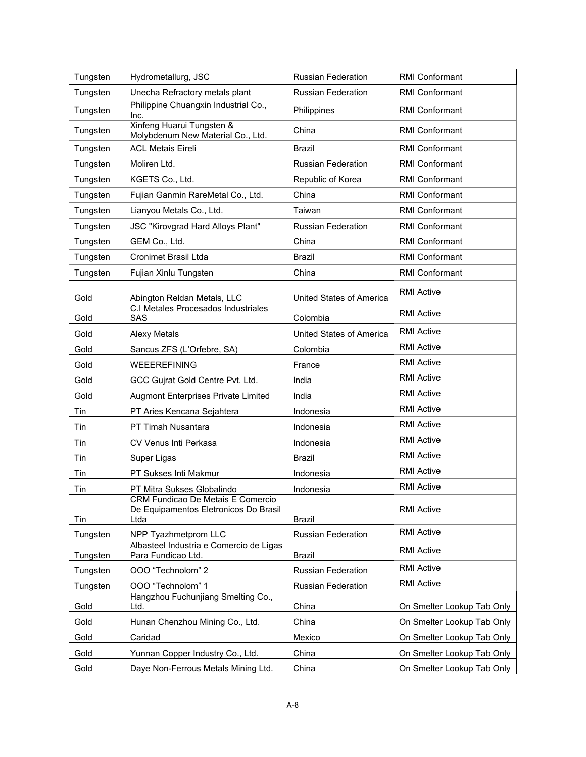| Tungsten | Hydrometallurg, JSC                                                                | <b>Russian Federation</b> | <b>RMI Conformant</b>      |
|----------|------------------------------------------------------------------------------------|---------------------------|----------------------------|
| Tungsten | Unecha Refractory metals plant                                                     | <b>Russian Federation</b> | <b>RMI Conformant</b>      |
| Tungsten | Philippine Chuangxin Industrial Co.,<br>Inc.                                       | Philippines               | <b>RMI Conformant</b>      |
| Tungsten | Xinfeng Huarui Tungsten &<br>Molybdenum New Material Co., Ltd.                     | China                     | <b>RMI Conformant</b>      |
| Tungsten | <b>ACL Metais Eireli</b>                                                           | <b>Brazil</b>             | <b>RMI Conformant</b>      |
| Tungsten | Moliren Ltd.                                                                       | <b>Russian Federation</b> | <b>RMI Conformant</b>      |
| Tungsten | KGETS Co., Ltd.                                                                    | Republic of Korea         | <b>RMI Conformant</b>      |
| Tungsten | Fujian Ganmin RareMetal Co., Ltd.                                                  | China                     | <b>RMI Conformant</b>      |
| Tungsten | Lianyou Metals Co., Ltd.                                                           | Taiwan                    | <b>RMI Conformant</b>      |
| Tungsten | JSC "Kirovgrad Hard Alloys Plant"                                                  | <b>Russian Federation</b> | <b>RMI Conformant</b>      |
| Tungsten | GEM Co., Ltd.                                                                      | China                     | <b>RMI Conformant</b>      |
| Tungsten | <b>Cronimet Brasil Ltda</b>                                                        | <b>Brazil</b>             | <b>RMI Conformant</b>      |
| Tungsten | Fujian Xinlu Tungsten                                                              | China                     | RMI Conformant             |
| Gold     | Abington Reldan Metals, LLC                                                        | United States of America  | <b>RMI Active</b>          |
| Gold     | C.I Metales Procesados Industriales<br>SAS                                         | Colombia                  | <b>RMI Active</b>          |
| Gold     | <b>Alexy Metals</b>                                                                | United States of America  | <b>RMI Active</b>          |
| Gold     | Sancus ZFS (L'Orfebre, SA)                                                         | Colombia                  | <b>RMI Active</b>          |
| Gold     | WEEEREFINING                                                                       | France                    | <b>RMI Active</b>          |
| Gold     | GCC Gujrat Gold Centre Pvt. Ltd.                                                   | India                     | <b>RMI Active</b>          |
| Gold     | Augmont Enterprises Private Limited                                                | India                     | <b>RMI Active</b>          |
| Tin      | PT Aries Kencana Sejahtera                                                         | Indonesia                 | <b>RMI Active</b>          |
| Tin      | PT Timah Nusantara                                                                 | Indonesia                 | <b>RMI Active</b>          |
| Tin      | CV Venus Inti Perkasa                                                              | Indonesia                 | <b>RMI Active</b>          |
| Tin      | Super Ligas                                                                        | <b>Brazil</b>             | <b>RMI Active</b>          |
| Tin      | PT Sukses Inti Makmur                                                              | Indonesia                 | <b>RMI Active</b>          |
| Tin      | PT Mitra Sukses Globalindo                                                         | Indonesia                 | <b>RMI Active</b>          |
| Tin      | CRM Fundicao De Metais E Comercio<br>De Equipamentos Eletronicos Do Brasil<br>Ltda | Brazil                    | <b>RMI Active</b>          |
| Tungsten | NPP Tyazhmetprom LLC                                                               | Russian Federation        | <b>RMI Active</b>          |
| Tungsten | Albasteel Industria e Comercio de Ligas<br>Para Fundicao Ltd.                      | Brazil                    | <b>RMI Active</b>          |
| Tungsten | OOO "Technolom" 2                                                                  | Russian Federation        | <b>RMI Active</b>          |
| Tungsten | OOO "Technolom" 1                                                                  | <b>Russian Federation</b> | <b>RMI Active</b>          |
| Gold     | Hangzhou Fuchunjiang Smelting Co.,<br>Ltd.                                         | China                     | On Smelter Lookup Tab Only |
| Gold     | Hunan Chenzhou Mining Co., Ltd.                                                    | China                     | On Smelter Lookup Tab Only |
| Gold     | Caridad                                                                            | Mexico                    | On Smelter Lookup Tab Only |
| Gold     | Yunnan Copper Industry Co., Ltd.                                                   | China                     | On Smelter Lookup Tab Only |
| Gold     | Daye Non-Ferrous Metals Mining Ltd.                                                | China                     | On Smelter Lookup Tab Only |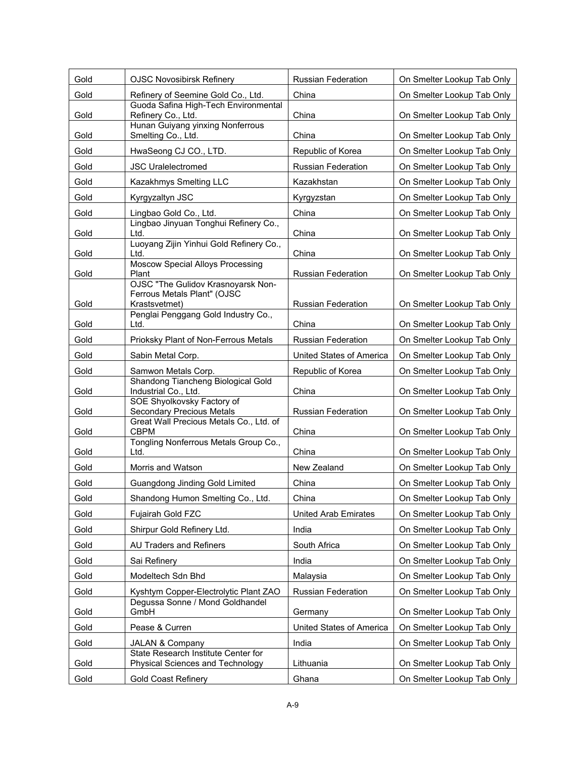| Gold | <b>OJSC Novosibirsk Refinery</b>                                                   | Russian Federation          | On Smelter Lookup Tab Only |
|------|------------------------------------------------------------------------------------|-----------------------------|----------------------------|
| Gold | Refinery of Seemine Gold Co., Ltd.                                                 | China                       | On Smelter Lookup Tab Only |
| Gold | Guoda Safina High-Tech Environmental<br>Refinery Co., Ltd.                         | China                       | On Smelter Lookup Tab Only |
| Gold | Hunan Guiyang yinxing Nonferrous<br>Smelting Co., Ltd.                             | China                       | On Smelter Lookup Tab Only |
| Gold | HwaSeong CJ CO., LTD.                                                              | Republic of Korea           | On Smelter Lookup Tab Only |
| Gold | <b>JSC Uralelectromed</b>                                                          | <b>Russian Federation</b>   | On Smelter Lookup Tab Only |
| Gold | Kazakhmys Smelting LLC                                                             | Kazakhstan                  | On Smelter Lookup Tab Only |
| Gold | Kyrgyzaltyn JSC                                                                    | Kyrgyzstan                  | On Smelter Lookup Tab Only |
| Gold | Lingbao Gold Co., Ltd.                                                             | China                       | On Smelter Lookup Tab Only |
| Gold | Lingbao Jinyuan Tonghui Refinery Co.,<br>Ltd.                                      | China                       | On Smelter Lookup Tab Only |
| Gold | Luoyang Zijin Yinhui Gold Refinery Co.,<br>Ltd.                                    | China                       | On Smelter Lookup Tab Only |
| Gold | <b>Moscow Special Alloys Processing</b><br>Plant                                   | <b>Russian Federation</b>   | On Smelter Lookup Tab Only |
| Gold | OJSC "The Gulidov Krasnoyarsk Non-<br>Ferrous Metals Plant" (OJSC<br>Krastsvetmet) | <b>Russian Federation</b>   | On Smelter Lookup Tab Only |
| Gold | Penglai Penggang Gold Industry Co.,<br>Ltd.                                        | China                       | On Smelter Lookup Tab Only |
| Gold | Prioksky Plant of Non-Ferrous Metals                                               | <b>Russian Federation</b>   | On Smelter Lookup Tab Only |
| Gold | Sabin Metal Corp.                                                                  | United States of America    | On Smelter Lookup Tab Only |
| Gold | Samwon Metals Corp.                                                                | Republic of Korea           | On Smelter Lookup Tab Only |
| Gold | Shandong Tiancheng Biological Gold<br>Industrial Co., Ltd.                         | China                       | On Smelter Lookup Tab Only |
| Gold | SOE Shyolkovsky Factory of<br><b>Secondary Precious Metals</b>                     | <b>Russian Federation</b>   | On Smelter Lookup Tab Only |
| Gold | Great Wall Precious Metals Co., Ltd. of<br><b>CBPM</b>                             | China                       | On Smelter Lookup Tab Only |
| Gold | Tongling Nonferrous Metals Group Co.,<br>Ltd.                                      | China                       | On Smelter Lookup Tab Only |
| Gold | Morris and Watson                                                                  | New Zealand                 | On Smelter Lookup Tab Only |
| Gold | Guangdong Jinding Gold Limited                                                     | China                       | On Smelter Lookup Tab Only |
| Gold | Shandong Humon Smelting Co., Ltd.                                                  | China                       | On Smelter Lookup Tab Only |
| Gold | Fujairah Gold FZC                                                                  | <b>United Arab Emirates</b> | On Smelter Lookup Tab Only |
| Gold | Shirpur Gold Refinery Ltd.                                                         | India                       | On Smelter Lookup Tab Only |
| Gold | AU Traders and Refiners                                                            | South Africa                | On Smelter Lookup Tab Only |
| Gold | Sai Refinery                                                                       | India                       | On Smelter Lookup Tab Only |
| Gold | Modeltech Sdn Bhd                                                                  | Malaysia                    | On Smelter Lookup Tab Only |
| Gold | Kyshtym Copper-Electrolytic Plant ZAO                                              | <b>Russian Federation</b>   | On Smelter Lookup Tab Only |
| Gold | Degussa Sonne / Mond Goldhandel<br>GmbH                                            | Germany                     | On Smelter Lookup Tab Only |
| Gold | Pease & Curren                                                                     | United States of America    | On Smelter Lookup Tab Only |
| Gold | <b>JALAN &amp; Company</b>                                                         | India                       | On Smelter Lookup Tab Only |
| Gold | State Research Institute Center for<br>Physical Sciences and Technology            | Lithuania                   | On Smelter Lookup Tab Only |
| Gold | <b>Gold Coast Refinery</b>                                                         | Ghana                       | On Smelter Lookup Tab Only |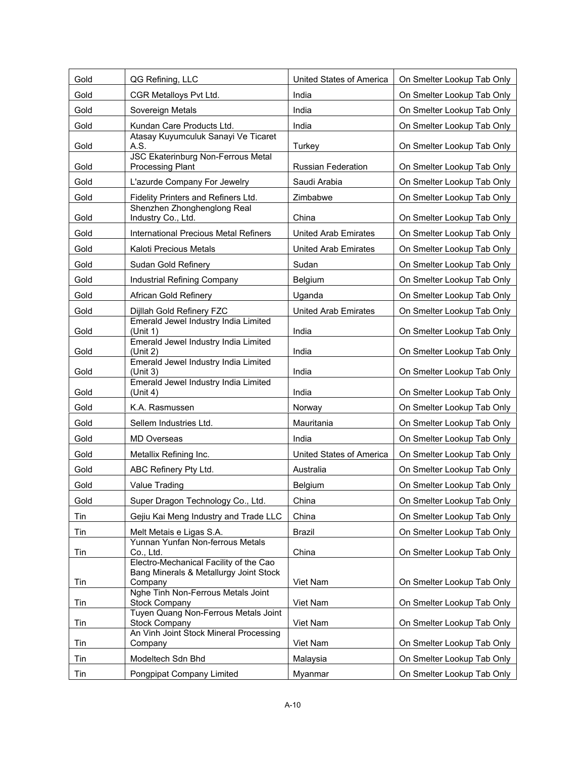| Gold | QG Refining, LLC                                                                            | United States of America    | On Smelter Lookup Tab Only |
|------|---------------------------------------------------------------------------------------------|-----------------------------|----------------------------|
| Gold | CGR Metalloys Pvt Ltd.                                                                      | India                       | On Smelter Lookup Tab Only |
| Gold | Sovereign Metals                                                                            | India                       | On Smelter Lookup Tab Only |
| Gold | Kundan Care Products Ltd.                                                                   | India                       | On Smelter Lookup Tab Only |
| Gold | Atasay Kuyumculuk Sanayi Ve Ticaret<br>A.S.                                                 | Turkey                      | On Smelter Lookup Tab Only |
| Gold | <b>JSC Ekaterinburg Non-Ferrous Metal</b><br><b>Processing Plant</b>                        | <b>Russian Federation</b>   | On Smelter Lookup Tab Only |
| Gold | L'azurde Company For Jewelry                                                                | Saudi Arabia                | On Smelter Lookup Tab Only |
| Gold | Fidelity Printers and Refiners Ltd.                                                         | Zimbabwe                    | On Smelter Lookup Tab Only |
| Gold | Shenzhen Zhonghenglong Real<br>Industry Co., Ltd.                                           | China                       | On Smelter Lookup Tab Only |
| Gold | International Precious Metal Refiners                                                       | <b>United Arab Emirates</b> | On Smelter Lookup Tab Only |
| Gold | Kaloti Precious Metals                                                                      | <b>United Arab Emirates</b> | On Smelter Lookup Tab Only |
| Gold | Sudan Gold Refinery                                                                         | Sudan                       | On Smelter Lookup Tab Only |
| Gold | Industrial Refining Company                                                                 | Belgium                     | On Smelter Lookup Tab Only |
| Gold | African Gold Refinery                                                                       | Uganda                      | On Smelter Lookup Tab Only |
| Gold | Dijllah Gold Refinery FZC                                                                   | <b>United Arab Emirates</b> | On Smelter Lookup Tab Only |
| Gold | Emerald Jewel Industry India Limited<br>(Unit 1)                                            | India                       | On Smelter Lookup Tab Only |
| Gold | Emerald Jewel Industry India Limited<br>(Unit 2)                                            | India                       | On Smelter Lookup Tab Only |
| Gold | Emerald Jewel Industry India Limited<br>(Unit 3)                                            | India                       | On Smelter Lookup Tab Only |
| Gold | Emerald Jewel Industry India Limited<br>(Unit 4)                                            | India                       | On Smelter Lookup Tab Only |
| Gold | K.A. Rasmussen                                                                              | Norway                      | On Smelter Lookup Tab Only |
| Gold | Sellem Industries Ltd.                                                                      | Mauritania                  | On Smelter Lookup Tab Only |
| Gold | <b>MD Overseas</b>                                                                          | India                       | On Smelter Lookup Tab Only |
| Gold | Metallix Refining Inc.                                                                      | United States of America    | On Smelter Lookup Tab Only |
| Gold | ABC Refinery Pty Ltd.                                                                       | Australia                   | On Smelter Lookup Tab Only |
| Gold | Value Trading                                                                               | Belgium                     | On Smelter Lookup Tab Only |
| Gold | Super Dragon Technology Co., Ltd.                                                           | China                       | On Smelter Lookup Tab Only |
| Tin  | Gejiu Kai Meng Industry and Trade LLC                                                       | China                       | On Smelter Lookup Tab Only |
| Tin  | Melt Metais e Ligas S.A.                                                                    | Brazil                      | On Smelter Lookup Tab Only |
| Tin  | Yunnan Yunfan Non-ferrous Metals<br>Co., Ltd.                                               | China                       | On Smelter Lookup Tab Only |
| Tin  | Electro-Mechanical Facility of the Cao<br>Bang Minerals & Metallurgy Joint Stock<br>Company | Viet Nam                    | On Smelter Lookup Tab Only |
| Tin  | Nghe Tinh Non-Ferrous Metals Joint<br><b>Stock Company</b>                                  | Viet Nam                    | On Smelter Lookup Tab Only |
| Tin  | Tuyen Quang Non-Ferrous Metals Joint<br><b>Stock Company</b>                                | Viet Nam                    | On Smelter Lookup Tab Only |
| Tin  | An Vinh Joint Stock Mineral Processing<br>Company                                           | Viet Nam                    | On Smelter Lookup Tab Only |
| Tin  | Modeltech Sdn Bhd                                                                           | Malaysia                    | On Smelter Lookup Tab Only |
| Tin  | Pongpipat Company Limited                                                                   | Myanmar                     | On Smelter Lookup Tab Only |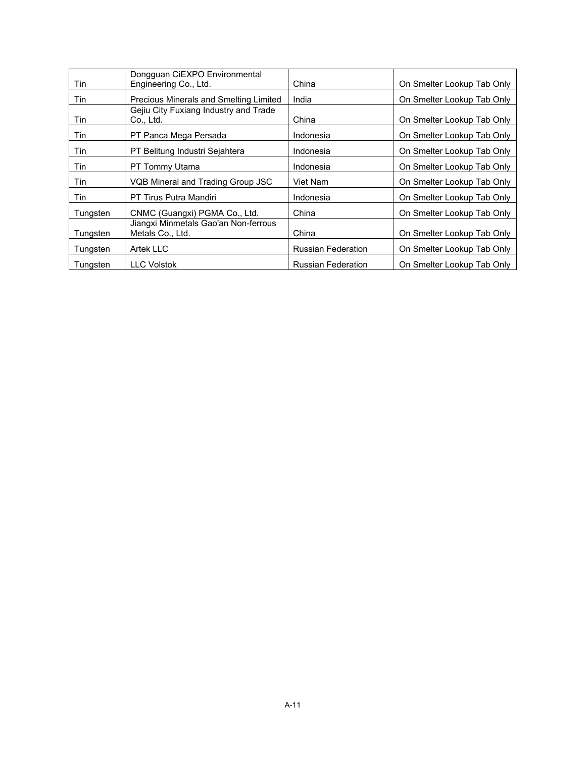| Tin        | Dongquan CIEXPO Environmental<br>Engineering Co., Ltd.   | China                     | On Smelter Lookup Tab Only |
|------------|----------------------------------------------------------|---------------------------|----------------------------|
| Tin        | Precious Minerals and Smelting Limited                   | India                     | On Smelter Lookup Tab Only |
| <b>Tin</b> | Gejiu City Fuxiang Industry and Trade<br>Co., Ltd.       | China                     | On Smelter Lookup Tab Only |
| Tin        | PT Panca Mega Persada                                    | Indonesia                 | On Smelter Lookup Tab Only |
| Tin        | PT Belitung Industri Sejahtera                           | Indonesia                 | On Smelter Lookup Tab Only |
| Tin        | PT Tommy Utama                                           | Indonesia                 | On Smelter Lookup Tab Only |
| Tin        | VQB Mineral and Trading Group JSC                        | Viet Nam                  | On Smelter Lookup Tab Only |
| Tin        | PT Tirus Putra Mandiri                                   | Indonesia                 | On Smelter Lookup Tab Only |
| Tungsten   | CNMC (Guangxi) PGMA Co., Ltd.                            | China                     | On Smelter Lookup Tab Only |
| Tungsten   | Jiangxi Minmetals Gao'an Non-ferrous<br>Metals Co., Ltd. | China                     | On Smelter Lookup Tab Only |
| Tungsten   | Artek LLC                                                | <b>Russian Federation</b> | On Smelter Lookup Tab Only |
| Tungsten   | <b>LLC Volstok</b>                                       | <b>Russian Federation</b> | On Smelter Lookup Tab Only |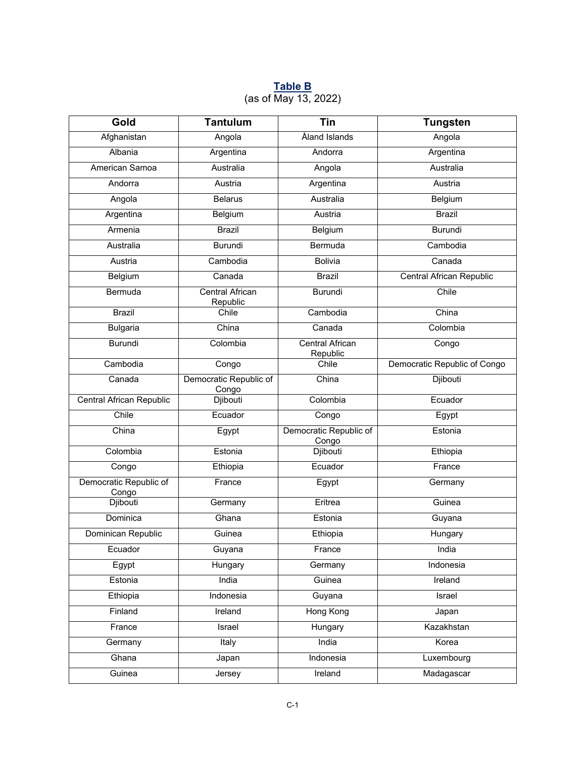#### **Table B** (as of May 13, 2022)

| Gold                            | <b>Tantulum</b>                    | Tin                                | <b>Tungsten</b>              |
|---------------------------------|------------------------------------|------------------------------------|------------------------------|
| Afghanistan                     | Angola                             | Åland Islands                      | Angola                       |
| Albania                         | Argentina                          | Andorra                            | Argentina                    |
| American Samoa                  | Australia                          | Angola                             | Australia                    |
| Andorra                         | Austria                            | Argentina                          | Austria                      |
| Angola                          | <b>Belarus</b>                     | Australia                          | Belgium                      |
| Argentina                       | Belgium                            | Austria                            | <b>Brazil</b>                |
| Armenia                         | <b>Brazil</b>                      | Belgium                            | <b>Burundi</b>               |
| Australia                       | Burundi                            | Bermuda                            | Cambodia                     |
| Austria                         | Cambodia                           | <b>Bolivia</b>                     | Canada                       |
| Belgium                         | Canada                             | <b>Brazil</b>                      | Central African Republic     |
| Bermuda                         | <b>Central African</b><br>Republic | <b>Burundi</b>                     | Chile                        |
| <b>Brazil</b>                   | Chile                              | Cambodia                           | China                        |
| <b>Bulgaria</b>                 | China                              | Canada                             | Colombia                     |
| Burundi                         | Colombia                           | <b>Central African</b><br>Republic | Congo                        |
| Cambodia                        | Congo                              | Chile                              | Democratic Republic of Congo |
| Canada                          | Democratic Republic of<br>Congo    | China                              | <b>Djibouti</b>              |
| Central African Republic        | Djibouti                           | Colombia                           | Ecuador                      |
| Chile                           | Ecuador                            | Congo                              | Egypt                        |
| China                           | Egypt                              | Democratic Republic of<br>Congo    | Estonia                      |
| Colombia                        | Estonia                            | Djibouti                           | Ethiopia                     |
| Congo                           | Ethiopia                           | Ecuador                            | France                       |
| Democratic Republic of<br>Congo | France                             | Egypt                              | Germany                      |
| Djibouti                        | Germany                            | Eritrea                            | Guinea                       |
| Dominica                        | Ghana                              | Estonia                            | Guyana                       |
| Dominican Republic              | Guinea                             | Ethiopia                           | Hungary                      |
| Ecuador                         | Guyana                             | France                             | India                        |
| Egypt                           | Hungary                            | Germany                            | Indonesia                    |
| Estonia                         | India                              | Guinea                             | Ireland                      |
| Ethiopia                        | Indonesia                          | Guyana                             | Israel                       |
| Finland                         | Ireland                            | <b>Hong Kong</b>                   | Japan                        |
| France                          | Israel                             | Hungary                            | Kazakhstan                   |
| Germany                         | Italy                              | India                              | Korea                        |
| Ghana                           | Japan                              | Indonesia                          | Luxembourg                   |
| Guinea                          | Jersey                             | Ireland                            | Madagascar                   |
|                                 |                                    |                                    |                              |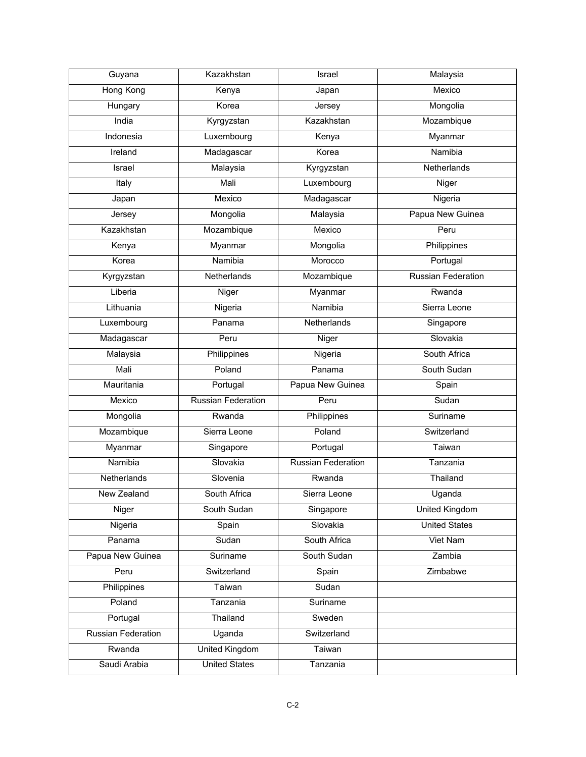| Guyana                    | Kazakhstan                | Israel                    | Malaysia                  |
|---------------------------|---------------------------|---------------------------|---------------------------|
| <b>Hong Kong</b>          | Kenya                     | Japan                     | Mexico                    |
| Hungary                   | Korea                     | Jersey                    | Mongolia                  |
| India                     | Kyrgyzstan                | Kazakhstan                | Mozambique                |
| Indonesia                 | Luxembourg                | Kenya                     | Myanmar                   |
| Ireland                   | Madagascar                | Korea                     | Namibia                   |
| Israel                    | Malaysia                  | Kyrgyzstan                | Netherlands               |
| Italy                     | Mali                      | Luxembourg                | Niger                     |
| Japan                     | Mexico                    | Madagascar                | Nigeria                   |
| Jersey                    | Mongolia                  | Malaysia                  | Papua New Guinea          |
| Kazakhstan                | Mozambique                | Mexico                    | Peru                      |
| Kenya                     | Myanmar                   | Mongolia                  | Philippines               |
| Korea                     | Namibia                   | Morocco                   | Portugal                  |
| Kyrgyzstan                | Netherlands               | Mozambique                | <b>Russian Federation</b> |
| Liberia                   | Niger                     | Myanmar                   | Rwanda                    |
| Lithuania                 | Nigeria                   | Namibia                   | Sierra Leone              |
| Luxembourg                | Panama                    | Netherlands               | Singapore                 |
| Madagascar                | Peru                      | Niger                     | Slovakia                  |
| Malaysia                  | Philippines               | Nigeria                   | South Africa              |
| Mali                      | Poland                    | Panama                    | South Sudan               |
| Mauritania                | Portugal                  | Papua New Guinea          | Spain                     |
| Mexico                    | <b>Russian Federation</b> | Peru                      | Sudan                     |
| Mongolia                  | Rwanda                    | Philippines               | Suriname                  |
| Mozambique                | Sierra Leone              | Poland                    | Switzerland               |
| Myanmar                   | Singapore                 | Portugal                  | Taiwan                    |
| Namibia                   | Slovakia                  | <b>Russian Federation</b> | Tanzania                  |
| Netherlands               | Slovenia                  | Rwanda                    | Thailand                  |
| New Zealand               | South Africa              | Sierra Leone              | Uganda                    |
| Niger                     | South Sudan               | Singapore                 | <b>United Kingdom</b>     |
| Nigeria                   | Spain                     | Slovakia                  | <b>United States</b>      |
| Panama                    | Sudan                     | South Africa              | Viet Nam                  |
| Papua New Guinea          | Suriname                  | South Sudan               | Zambia                    |
| Peru                      | Switzerland               | Spain                     | Zimbabwe                  |
| Philippines               | Taiwan                    | Sudan                     |                           |
| Poland                    | Tanzania                  | Suriname                  |                           |
| Portugal                  | Thailand                  | Sweden                    |                           |
| <b>Russian Federation</b> | Uganda                    | Switzerland               |                           |
| Rwanda                    | <b>United Kingdom</b>     | Taiwan                    |                           |
| Saudi Arabia              | <b>United States</b>      | Tanzania                  |                           |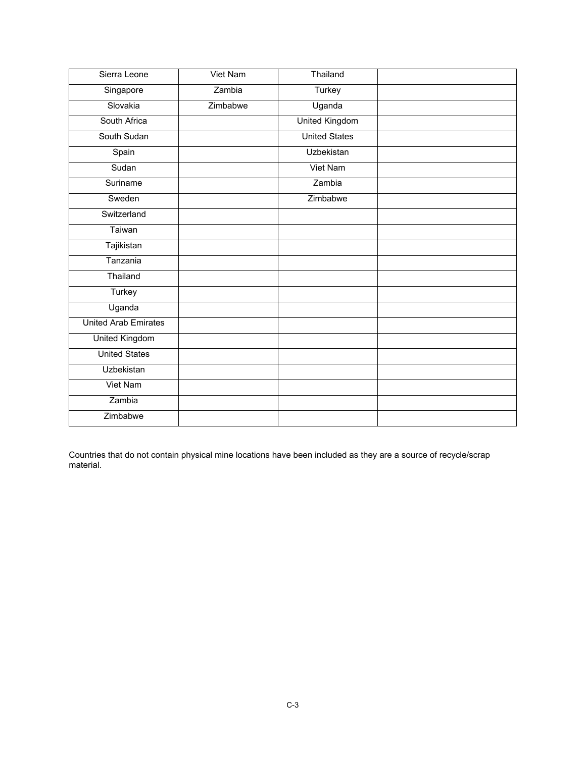| Sierra Leone                | Viet Nam | Thailand              |  |
|-----------------------------|----------|-----------------------|--|
| Singapore                   | Zambia   | Turkey                |  |
| Slovakia                    | Zimbabwe | Uganda                |  |
| South Africa                |          | <b>United Kingdom</b> |  |
| South Sudan                 |          | <b>United States</b>  |  |
| Spain                       |          | Uzbekistan            |  |
| Sudan                       |          | Viet Nam              |  |
| Suriname                    |          | Zambia                |  |
| Sweden                      |          | Zimbabwe              |  |
| Switzerland                 |          |                       |  |
| Taiwan                      |          |                       |  |
| Tajikistan                  |          |                       |  |
| Tanzania                    |          |                       |  |
| Thailand                    |          |                       |  |
| Turkey                      |          |                       |  |
| Uganda                      |          |                       |  |
| <b>United Arab Emirates</b> |          |                       |  |
| <b>United Kingdom</b>       |          |                       |  |
| <b>United States</b>        |          |                       |  |
| Uzbekistan                  |          |                       |  |
| Viet Nam                    |          |                       |  |
| Zambia                      |          |                       |  |
| Zimbabwe                    |          |                       |  |

Countries that do not contain physical mine locations have been included as they are a source of recycle/scrap material.